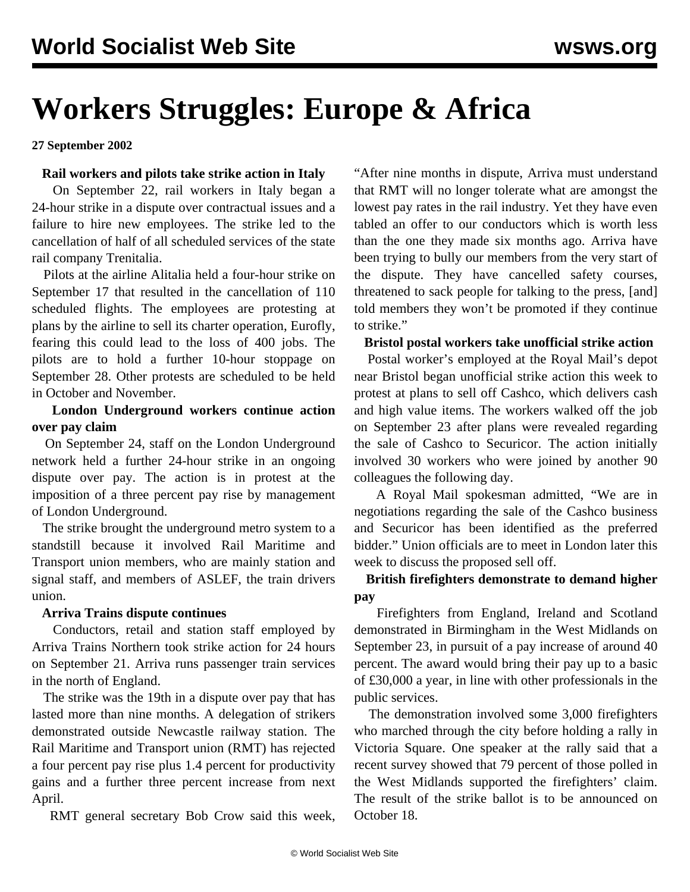# **Workers Struggles: Europe & Africa**

**27 September 2002**

#### **Rail workers and pilots take strike action in Italy**

 On September 22, rail workers in Italy began a 24-hour strike in a dispute over contractual issues and a failure to hire new employees. The strike led to the cancellation of half of all scheduled services of the state rail company Trenitalia.

 Pilots at the airline Alitalia held a four-hour strike on September 17 that resulted in the cancellation of 110 scheduled flights. The employees are protesting at plans by the airline to sell its charter operation, Eurofly, fearing this could lead to the loss of 400 jobs. The pilots are to hold a further 10-hour stoppage on September 28. Other protests are scheduled to be held in October and November.

# **London Underground workers continue action over pay claim**

 On September 24, staff on the London Underground network held a further 24-hour strike in an ongoing dispute over pay. The action is in protest at the imposition of a three percent pay rise by management of London Underground.

 The strike brought the underground metro system to a standstill because it involved Rail Maritime and Transport union members, who are mainly station and signal staff, and members of ASLEF, the train drivers union.

#### **Arriva Trains dispute continues**

 Conductors, retail and station staff employed by Arriva Trains Northern took strike action for 24 hours on September 21. Arriva runs passenger train services in the north of England.

 The strike was the 19th in a dispute over pay that has lasted more than nine months. A delegation of strikers demonstrated outside Newcastle railway station. The Rail Maritime and Transport union (RMT) has rejected a four percent pay rise plus 1.4 percent for productivity gains and a further three percent increase from next April.

RMT general secretary Bob Crow said this week,

"After nine months in dispute, Arriva must understand that RMT will no longer tolerate what are amongst the lowest pay rates in the rail industry. Yet they have even tabled an offer to our conductors which is worth less than the one they made six months ago. Arriva have been trying to bully our members from the very start of the dispute. They have cancelled safety courses, threatened to sack people for talking to the press, [and] told members they won't be promoted if they continue to strike."

#### **Bristol postal workers take unofficial strike action**

 Postal worker's employed at the Royal Mail's depot near Bristol began unofficial strike action this week to protest at plans to sell off Cashco, which delivers cash and high value items. The workers walked off the job on September 23 after plans were revealed regarding the sale of Cashco to Securicor. The action initially involved 30 workers who were joined by another 90 colleagues the following day.

 A Royal Mail spokesman admitted, "We are in negotiations regarding the sale of the Cashco business and Securicor has been identified as the preferred bidder." Union officials are to meet in London later this week to discuss the proposed sell off.

# **British firefighters demonstrate to demand higher pay**

 Firefighters from England, Ireland and Scotland demonstrated in Birmingham in the West Midlands on September 23, in pursuit of a pay increase of around 40 percent. The award would bring their pay up to a basic of £30,000 a year, in line with other professionals in the public services.

 The demonstration involved some 3,000 firefighters who marched through the city before holding a rally in Victoria Square. One speaker at the rally said that a recent survey showed that 79 percent of those polled in the West Midlands supported the firefighters' claim. The result of the strike ballot is to be announced on October 18.